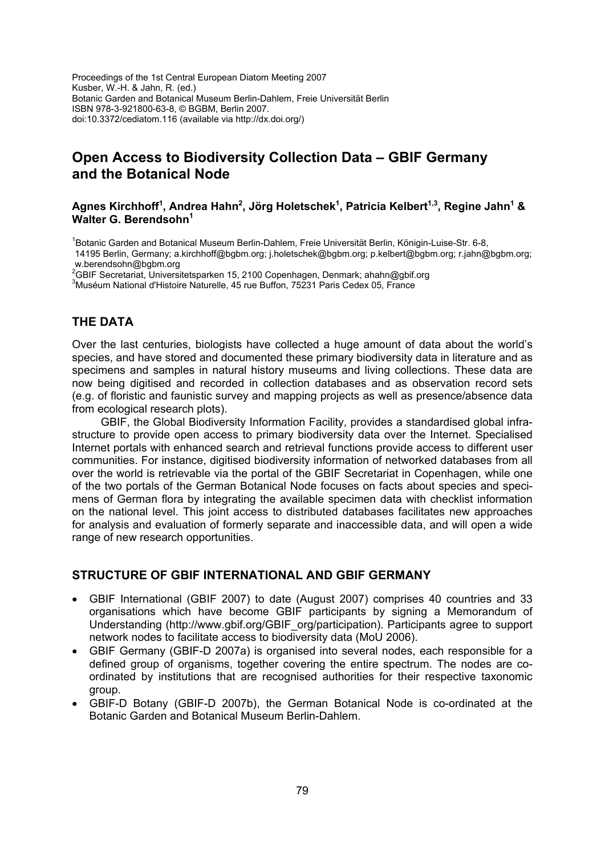Proceedings of the 1st Central European Diatom Meeting 2007 Kusber, W.-H. & Jahn, R. (ed.) Botanic Garden and Botanical Museum Berlin-Dahlem, Freie Universität Berlin ISBN 978-3-921800-63-8, © BGBM, Berlin 2007. doi:10.3372/cediatom.116 (available via http://dx.doi.org/)

## **Open Access to Biodiversity Collection Data – GBIF Germany and the Botanical Node**

#### **Agnes Kirchhoff<sup>1</sup> , Andrea Hahn<sup>2</sup> , Jörg Holetschek<sup>1</sup> , Patricia Kelbert1,3, Regine Jahn1 &**  Walter G. Berendsohn<sup>1</sup>

<sup>1</sup>Botanic Garden and Botanical Museum Berlin-Dahlem, Freie Universität Berlin, Königin-Luise-Str. 6-8, 14195 Berlin, Germany; a.kirchhoff@bgbm.org; j.holetschek@bgbm.org; p.kelbert@bgbm.org; r.jahn@bgbm.org; w.berendsohn@bgbm.org

<sup>2</sup>GBIF Secretariat, Universitetsparken 15, 2100 Copenhagen, Denmark; ahahn@gbif.org<br><sup>3</sup>Muséum National d'Histoire Naturalle, 45 zue Buffen, 75221 Daris Codex 05, France

<sup>3</sup>Muséum National d'Histoire Naturelle, 45 rue Buffon, 75231 Paris Cedex 05, France

### **THE DATA**

Over the last centuries, biologists have collected a huge amount of data about the world's species, and have stored and documented these primary biodiversity data in literature and as specimens and samples in natural history museums and living collections. These data are now being digitised and recorded in collection databases and as observation record sets (e.g. of floristic and faunistic survey and mapping projects as well as presence/absence data from ecological research plots).

GBIF, the Global Biodiversity Information Facility, provides a standardised global infrastructure to provide open access to primary biodiversity data over the Internet. Specialised Internet portals with enhanced search and retrieval functions provide access to different user communities. For instance, digitised biodiversity information of networked databases from all over the world is retrievable via the portal of the GBIF Secretariat in Copenhagen, while one of the two portals of the German Botanical Node focuses on facts about species and specimens of German flora by integrating the available specimen data with checklist information on the national level. This joint access to distributed databases facilitates new approaches for analysis and evaluation of formerly separate and inaccessible data, and will open a wide range of new research opportunities.

#### **STRUCTURE OF GBIF INTERNATIONAL AND GBIF GERMANY**

- GBIF International (GBIF 2007) to date (August 2007) comprises 40 countries and 33 organisations which have become GBIF participants by signing a Memorandum of Understanding (http://www.gbif.org/GBIF\_org/participation). Participants agree to support network nodes to facilitate access to biodiversity data (MoU 2006).
- GBIF Germany (GBIF-D 2007a) is organised into several nodes, each responsible for a defined group of organisms, together covering the entire spectrum. The nodes are coordinated by institutions that are recognised authorities for their respective taxonomic group.
- GBIF-D Botany (GBIF-D 2007b), the German Botanical Node is co-ordinated at the Botanic Garden and Botanical Museum Berlin-Dahlem.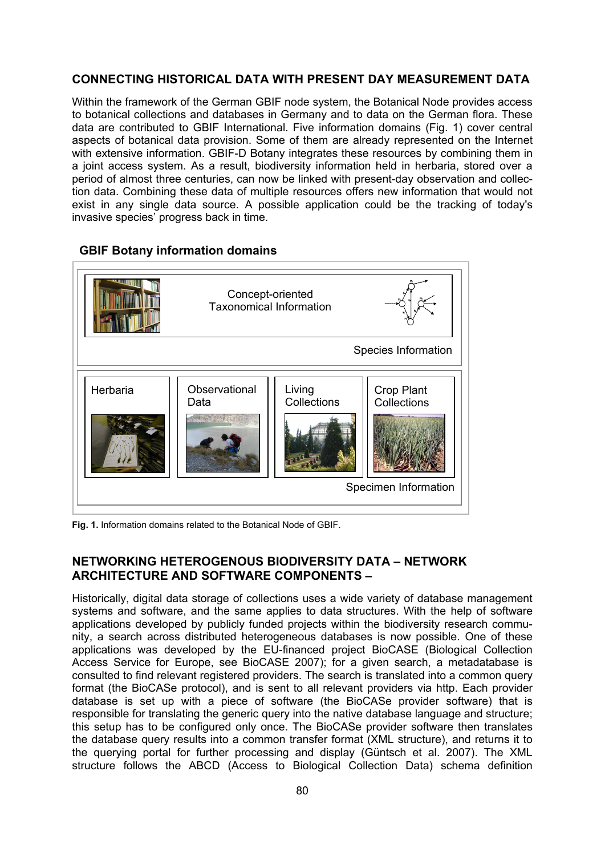## **CONNECTING HISTORICAL DATA WITH PRESENT DAY MEASUREMENT DATA**

Within the framework of the German GBIF node system, the Botanical Node provides access to botanical collections and databases in Germany and to data on the German flora. These data are contributed to GBIF International. Five information domains (Fig. 1) cover central aspects of botanical data provision. Some of them are already represented on the Internet with extensive information. GBIF-D Botany integrates these resources by combining them in a joint access system. As a result, biodiversity information held in herbaria, stored over a period of almost three centuries, can now be linked with present-day observation and collection data. Combining these data of multiple resources offers new information that would not exist in any single data source. A possible application could be the tracking of today's invasive species' progress back in time.

# Concept-oriented Taxonomical Information Species Information Specimen Information Herbaria | Observational Data Living **Collections** Crop Plant **Collections**

#### **GBIF Botany information domains**

**Fig. 1.** Information domains related to the Botanical Node of GBIF.

## **NETWORKING HETEROGENOUS BIODIVERSITY DATA – NETWORK ARCHITECTURE AND SOFTWARE COMPONENTS –**

Historically, digital data storage of collections uses a wide variety of database management systems and software, and the same applies to data structures. With the help of software applications developed by publicly funded projects within the biodiversity research community, a search across distributed heterogeneous databases is now possible. One of these applications was developed by the EU-financed project BioCASE (Biological Collection Access Service for Europe, see BioCASE 2007); for a given search, a metadatabase is consulted to find relevant registered providers. The search is translated into a common query format (the BioCASe protocol), and is sent to all relevant providers via http. Each provider database is set up with a piece of software (the BioCASe provider software) that is responsible for translating the generic query into the native database language and structure; this setup has to be configured only once. The BioCASe provider software then translates the database query results into a common transfer format (XML structure), and returns it to the querying portal for further processing and display (Güntsch et al. 2007). The XML structure follows the ABCD (Access to Biological Collection Data) schema definition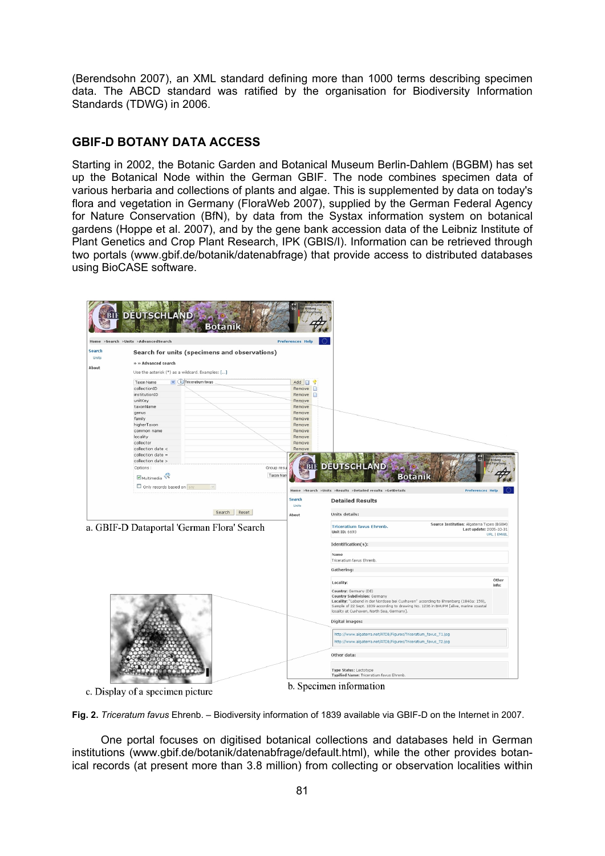(Berendsohn 2007), an XML standard defining more than 1000 terms describing specimen data. The ABCD standard was ratified by the organisation for Biodiversity Information Standards (TDWG) in 2006.

## **GBIF-D BOTANY DATA ACCESS**

Starting in 2002, the Botanic Garden and Botanical Museum Berlin-Dahlem (BGBM) has set up the Botanical Node within the German GBIF. The node combines specimen data of various herbaria and collections of plants and algae. This is supplemented by data on today's flora and vegetation in Germany (FloraWeb 2007), supplied by the German Federal Agency for Nature Conservation (BfN), by data from the Systax information system on botanical gardens (Hoppe et al. 2007), and by the gene bank accession data of the Leibniz Institute of Plant Genetics and Crop Plant Research, IPK (GBIS/I). Information can be retrieved through two portals (www.gbif.de/botanik/datenabfrage) that provide access to distributed databases using BioCASE software.



c. Display of a specimen picture

**Fig. 2.** *Triceratum favus* Ehrenb. – Biodiversity information of 1839 available via GBIF-D on the Internet in 2007.

One portal focuses on digitised botanical collections and databases held in German institutions (www.gbif.de/botanik/datenabfrage/default.html), while the other provides botanical records (at present more than 3.8 million) from collecting or observation localities within